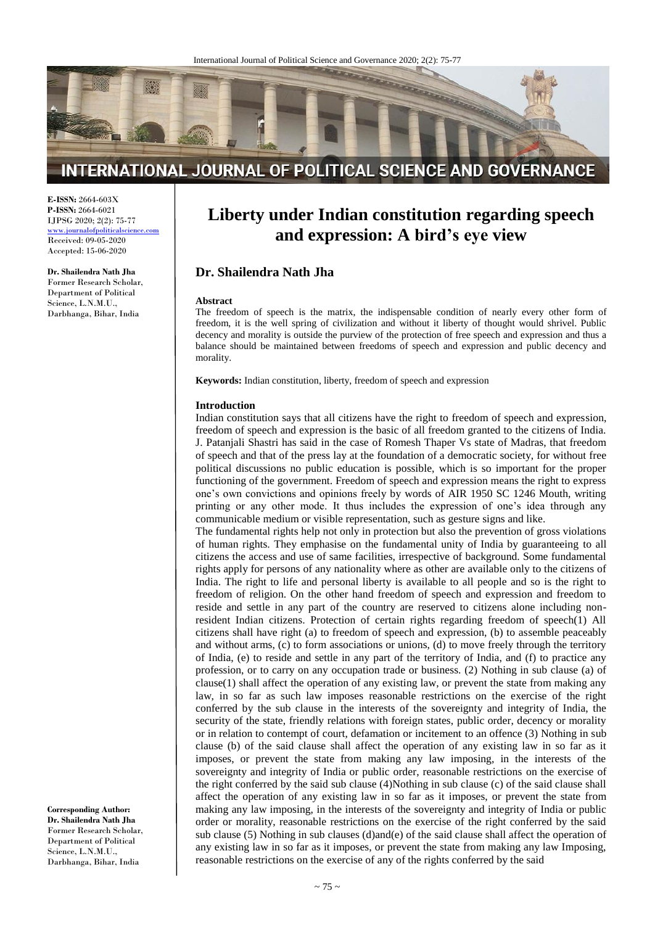

# INTERNATIONAL JOURNAL OF POLITICAL SCIENCE AND GOVERNANCE

**E-ISSN:** 2664-603X **P-ISSN:** 2664-6021 IJPSG 2020; 2(2): 75-77

ww.journalofpoliticalscien Received: 09-05-2020 Accepted: 15-06-2020

**Dr. Shailendra Nath Jha** Former Research Scholar, Department of Political Science, L.N.M.U., Darbhanga, Bihar, India

# **Liberty under Indian constitution regarding speech and expression: A bird's eye view**

### **Dr. Shailendra Nath Jha**

#### **Abstract**

The freedom of speech is the matrix, the indispensable condition of nearly every other form of freedom, it is the well spring of civilization and without it liberty of thought would shrivel. Public decency and morality is outside the purview of the protection of free speech and expression and thus a balance should be maintained between freedoms of speech and expression and public decency and morality.

**Keywords:** Indian constitution, liberty, freedom of speech and expression

#### **Introduction**

Indian constitution says that all citizens have the right to freedom of speech and expression, freedom of speech and expression is the basic of all freedom granted to the citizens of India. J. Patanjali Shastri has said in the case of Romesh Thaper Vs state of Madras, that freedom of speech and that of the press lay at the foundation of a democratic society, for without free political discussions no public education is possible, which is so important for the proper functioning of the government. Freedom of speech and expression means the right to express one's own convictions and opinions freely by words of AIR 1950 SC 1246 Mouth, writing printing or any other mode. It thus includes the expression of one's idea through any communicable medium or visible representation, such as gesture signs and like.

The fundamental rights help not only in protection but also the prevention of gross violations of human rights. They emphasise on the fundamental unity of India by guaranteeing to all citizens the access and use of same facilities, irrespective of background. Some fundamental rights apply for persons of any nationality where as other are available only to the citizens of India. The right to life and personal liberty is available to all people and so is the right to freedom of religion. On the other hand freedom of speech and expression and freedom to reside and settle in any part of the country are reserved to citizens alone including nonresident Indian citizens. Protection of certain rights regarding freedom of speech(1) All citizens shall have right (a) to freedom of speech and expression, (b) to assemble peaceably and without arms, (c) to form associations or unions, (d) to move freely through the territory of India, (e) to reside and settle in any part of the territory of India, and (f) to practice any profession, or to carry on any occupation trade or business. (2) Nothing in sub clause (a) of clause(1) shall affect the operation of any existing law, or prevent the state from making any law, in so far as such law imposes reasonable restrictions on the exercise of the right conferred by the sub clause in the interests of the sovereignty and integrity of India, the security of the state, friendly relations with foreign states, public order, decency or morality or in relation to contempt of court, defamation or incitement to an offence (3) Nothing in sub clause (b) of the said clause shall affect the operation of any existing law in so far as it imposes, or prevent the state from making any law imposing, in the interests of the sovereignty and integrity of India or public order, reasonable restrictions on the exercise of the right conferred by the said sub clause (4)Nothing in sub clause (c) of the said clause shall affect the operation of any existing law in so far as it imposes, or prevent the state from making any law imposing, in the interests of the sovereignty and integrity of India or public order or morality, reasonable restrictions on the exercise of the right conferred by the said sub clause (5) Nothing in sub clauses (d)and(e) of the said clause shall affect the operation of any existing law in so far as it imposes, or prevent the state from making any law Imposing, reasonable restrictions on the exercise of any of the rights conferred by the said

**Corresponding Author: Dr. Shailendra Nath Jha** Former Research Scholar, Department of Political Science, L.N.M.U., Darbhanga, Bihar, India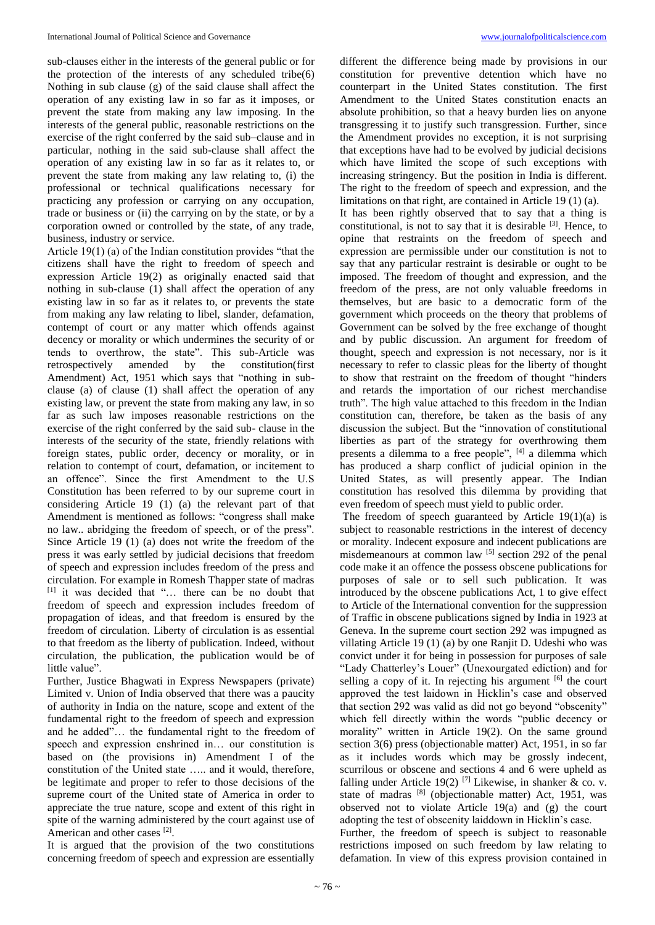sub-clauses either in the interests of the general public or for the protection of the interests of any scheduled tribe $(6)$ Nothing in sub clause (g) of the said clause shall affect the operation of any existing law in so far as it imposes, or prevent the state from making any law imposing. In the interests of the general public, reasonable restrictions on the exercise of the right conferred by the said sub–clause and in particular, nothing in the said sub-clause shall affect the operation of any existing law in so far as it relates to, or prevent the state from making any law relating to, (i) the professional or technical qualifications necessary for practicing any profession or carrying on any occupation, trade or business or (ii) the carrying on by the state, or by a corporation owned or controlled by the state, of any trade, business, industry or service.

Article 19(1) (a) of the Indian constitution provides "that the citizens shall have the right to freedom of speech and expression Article 19(2) as originally enacted said that nothing in sub-clause (1) shall affect the operation of any existing law in so far as it relates to, or prevents the state from making any law relating to libel, slander, defamation, contempt of court or any matter which offends against decency or morality or which undermines the security of or tends to overthrow, the state". This sub-Article was retrospectively amended by the constitution(first Amendment) Act, 1951 which says that "nothing in subclause (a) of clause (1) shall affect the operation of any existing law, or prevent the state from making any law, in so far as such law imposes reasonable restrictions on the exercise of the right conferred by the said sub- clause in the interests of the security of the state, friendly relations with foreign states, public order, decency or morality, or in relation to contempt of court, defamation, or incitement to an offence". Since the first Amendment to the U.S Constitution has been referred to by our supreme court in considering Article 19 (1) (a) the relevant part of that Amendment is mentioned as follows: "congress shall make no law.. abridging the freedom of speech, or of the press". Since Article 19 (1) (a) does not write the freedom of the press it was early settled by judicial decisions that freedom of speech and expression includes freedom of the press and circulation. For example in Romesh Thapper state of madras [1] it was decided that "… there can be no doubt that freedom of speech and expression includes freedom of propagation of ideas, and that freedom is ensured by the freedom of circulation. Liberty of circulation is as essential to that freedom as the liberty of publication. Indeed, without circulation, the publication, the publication would be of little value".

Further, Justice Bhagwati in Express Newspapers (private) Limited v. Union of India observed that there was a paucity of authority in India on the nature, scope and extent of the fundamental right to the freedom of speech and expression and he added"… the fundamental right to the freedom of speech and expression enshrined in… our constitution is based on (the provisions in) Amendment I of the constitution of the United state ….. and it would, therefore, be legitimate and proper to refer to those decisions of the supreme court of the United state of America in order to appreciate the true nature, scope and extent of this right in spite of the warning administered by the court against use of American and other cases [2].

It is argued that the provision of the two constitutions concerning freedom of speech and expression are essentially

different the difference being made by provisions in our constitution for preventive detention which have no counterpart in the United States constitution. The first Amendment to the United States constitution enacts an absolute prohibition, so that a heavy burden lies on anyone transgressing it to justify such transgression. Further, since the Amendment provides no exception, it is not surprising that exceptions have had to be evolved by judicial decisions which have limited the scope of such exceptions with increasing stringency. But the position in India is different. The right to the freedom of speech and expression, and the limitations on that right, are contained in Article 19 (1) (a). It has been rightly observed that to say that a thing is constitutional, is not to say that it is desirable <sup>[3]</sup>. Hence, to opine that restraints on the freedom of speech and expression are permissible under our constitution is not to say that any particular restraint is desirable or ought to be imposed. The freedom of thought and expression, and the freedom of the press, are not only valuable freedoms in themselves, but are basic to a democratic form of the government which proceeds on the theory that problems of

Government can be solved by the free exchange of thought and by public discussion. An argument for freedom of thought, speech and expression is not necessary, nor is it necessary to refer to classic pleas for the liberty of thought to show that restraint on the freedom of thought "hinders and retards the importation of our richest merchandise truth". The high value attached to this freedom in the Indian constitution can, therefore, be taken as the basis of any discussion the subject. But the "innovation of constitutional liberties as part of the strategy for overthrowing them presents a dilemma to a free people", [4] a dilemma which has produced a sharp conflict of judicial opinion in the United States, as will presently appear. The Indian constitution has resolved this dilemma by providing that even freedom of speech must yield to public order.

The freedom of speech guaranteed by Article 19(1)(a) is subject to reasonable restrictions in the interest of decency or morality. Indecent exposure and indecent publications are misdemeanours at common law  $\left[5\right]$  section 292 of the penal code make it an offence the possess obscene publications for purposes of sale or to sell such publication. It was introduced by the obscene publications Act, 1 to give effect to Article of the International convention for the suppression of Traffic in obscene publications signed by India in 1923 at Geneva. In the supreme court section 292 was impugned as villating Article 19 (1) (a) by one Ranjit D. Udeshi who was convict under it for being in possession for purposes of sale "Lady Chatterley's Louer" (Unexourgated ediction) and for selling a copy of it. In rejecting his argument  $[6]$  the court approved the test laidown in Hicklin's case and observed that section 292 was valid as did not go beyond "obscenity" which fell directly within the words "public decency or morality" written in Article 19(2). On the same ground section 3(6) press (objectionable matter) Act, 1951, in so far as it includes words which may be grossly indecent, scurrilous or obscene and sections 4 and 6 were upheld as falling under Article 19(2)<sup>[7]</sup> Likewise, in shanker & co. v. state of madras <sup>[8]</sup> (objectionable matter) Act, 1951, was observed not to violate Article 19(a) and (g) the court adopting the test of obscenity laiddown in Hicklin's case.

Further, the freedom of speech is subject to reasonable restrictions imposed on such freedom by law relating to defamation. In view of this express provision contained in